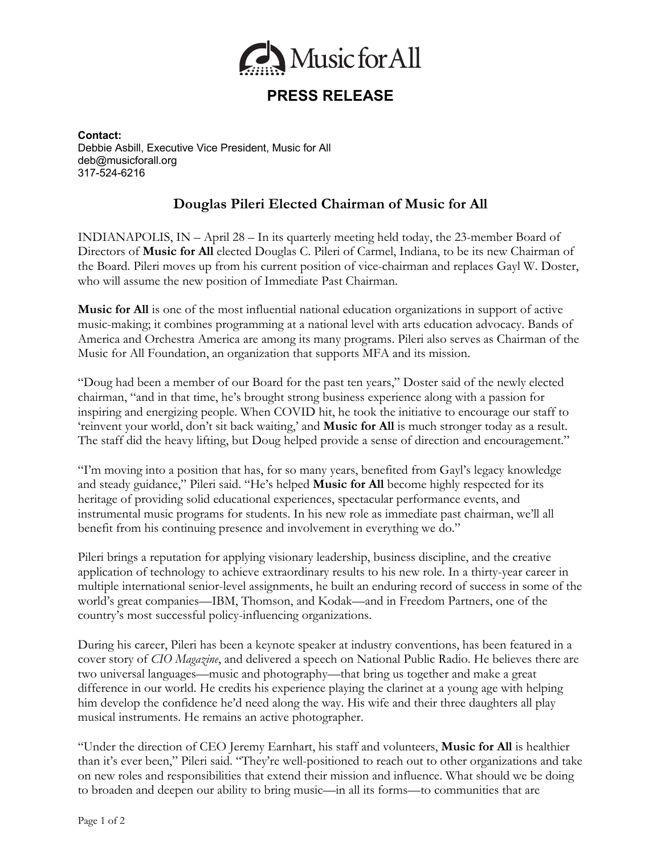

## **PRESS RELEASE**

**Contact:** Debbie Asbill, Executive Vice President, Music for All deb@musicforall.org 317-524-6216

## **Douglas Pileri Elected Chairman of Music for All**

INDIANAPOLIS, IN – April 28 – In its quarterly meeting held today, the 23-member Board of Directors of **Music for All** elected Douglas C. Pileri of Carmel, Indiana, to be its new Chairman of the Board. Pileri moves up from his current position of vice-chairman and replaces Gayl W. Doster, who will assume the new position of Immediate Past Chairman.

**Music for All** is one of the most influential national education organizations in support of active music-making; it combines programming at a national level with arts education advocacy. Bands of America and Orchestra America are among its many programs. Pileri also serves as Chairman of the Music for All Foundation, an organization that supports MFA and its mission.

"Doug had been a member of our Board for the past ten years," Doster said of the newly elected chairman, "and in that time, he's brought strong business experience along with a passion for inspiring and energizing people. When COVID hit, he took the initiative to encourage our staff to 'reinvent your world, don't sit back waiting,' and **Music for All** is much stronger today as a result. The staff did the heavy lifting, but Doug helped provide a sense of direction and encouragement."

"I'm moving into a position that has, for so many years, benefited from Gayl's legacy knowledge and steady guidance," Pileri said. "He's helped **Music for All** become highly respected for its heritage of providing solid educational experiences, spectacular performance events, and instrumental music programs for students. In his new role as immediate past chairman, we'll all benefit from his continuing presence and involvement in everything we do."

Pileri brings a reputation for applying visionary leadership, business discipline, and the creative application of technology to achieve extraordinary results to his new role. In a thirty-year career in multiple international senior-level assignments, he built an enduring record of success in some of the world's great companies––IBM, Thomson, and Kodak––and in Freedom Partners, one of the country's most successful policy-influencing organizations.

During his career, Pileri has been a keynote speaker at industry conventions, has been featured in a cover story of *CIO Magazine*, and delivered a speech on National Public Radio. He believes there are two universal languages––music and photography––that bring us together and make a great difference in our world. He credits his experience playing the clarinet at a young age with helping him develop the confidence he'd need along the way. His wife and their three daughters all play musical instruments. He remains an active photographer.

"Under the direction of CEO Jeremy Earnhart, his staff and volunteers, **Music for All** is healthier than it's ever been," Pileri said. "They're well-positioned to reach out to other organizations and take on new roles and responsibilities that extend their mission and influence. What should we be doing to broaden and deepen our ability to bring music––in all its forms––to communities that are